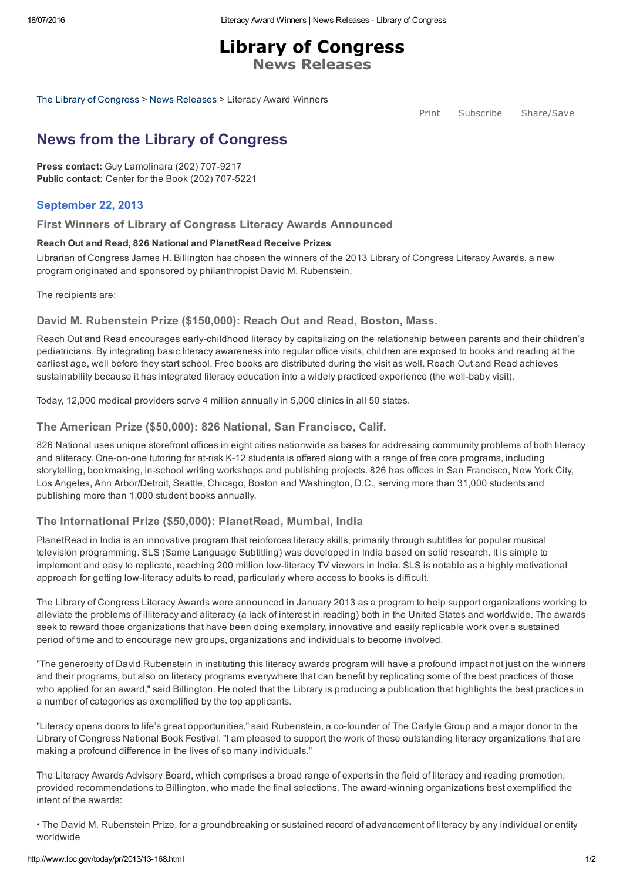Library of Congress News Releases

The Library of [Congress](http://www.loc.gov/) > News [Releases](http://www.loc.gov/today/pr/) > Literacy Award Winners

Print Subscribe Share/Save

# <span id="page-0-0"></span>News from the Library of Congress

Press contact: Guy Lamolinara (202) 707-9217 Public contact: Center for the Book (202) 707-5221

# September 22, 2013

#### First Winners of Library of Congress Literacy Awards Announced

#### Reach Out and Read, 826 National and PlanetRead Receive Prizes

Librarian of Congress James H. Billington has chosen the winners of the 2013 Library of Congress Literacy Awards, a new program originated and sponsored by philanthropist David M. Rubenstein.

The recipients are:

#### David M. Rubenstein Prize (\$150,000): Reach Out and Read, Boston, Mass.

Reach Out and Read encourages early-childhood literacy by capitalizing on the relationship between parents and their children's pediatricians. By integrating basic literacy awareness into regular office visits, children are exposed to books and reading at the earliest age, well before they start school. Free books are distributed during the visit as well. Reach Out and Read achieves sustainability because it has integrated literacy education into a widely practiced experience (the well-baby visit).

Today, 12,000 medical providers serve 4 million annually in 5,000 clinics in all 50 states.

#### The American Prize (\$50,000): 826 National, San Francisco, Calif.

826 National uses unique storefront offices in eight cities nationwide as bases for addressing community problems of both literacy and aliteracy. One-on-one tutoring for at-risk K-12 students is offered along with a range of free core programs, including storytelling, bookmaking, in-school writing workshops and publishing projects. 826 has offices in San Francisco, New York City, Los Angeles, Ann Arbor/Detroit, Seattle, Chicago, Boston and Washington, D.C., serving more than 31,000 students and publishing more than 1,000 student books annually.

## The International Prize (\$50,000): PlanetRead, Mumbai, India

PlanetRead in India is an innovative program that reinforces literacy skills, primarily through subtitles for popular musical television programming. SLS (Same Language Subtitling) was developed in India based on solid research. It is simple to implement and easy to replicate, reaching 200 million low-literacy TV viewers in India. SLS is notable as a highly motivational approach for getting low-literacy adults to read, particularly where access to books is difficult.

The Library of Congress Literacy Awards were announced in January 2013 as a program to help support organizations working to alleviate the problems of illiteracy and aliteracy (a lack of interest in reading) both in the United States and worldwide. The awards seek to reward those organizations that have been doing exemplary, innovative and easily replicable work over a sustained period of time and to encourage new groups, organizations and individuals to become involved.

"The generosity of David Rubenstein in instituting this literacy awards program will have a profound impact not just on the winners and their programs, but also on literacy programs everywhere that can benefit by replicating some of the best practices of those who applied for an award," said Billington. He noted that the Library is producing a publication that highlights the best practices in a number of categories as exemplified by the top applicants.

"Literacy opens doors to life's great opportunities," said Rubenstein, a co-founder of The Carlyle Group and a major donor to the Library of Congress National Book Festival. "I am pleased to support the work of these outstanding literacy organizations that are making a profound difference in the lives of so many individuals."

The Literacy Awards Advisory Board, which comprises a broad range of experts in the field of literacy and reading promotion, provided recommendations to Billington, who made the final selections. The award-winning organizations best exemplified the intent of the awards:

• The David M. Rubenstein Prize, for a groundbreaking or sustained record of advancement of literacy by any individual or entity worldwide